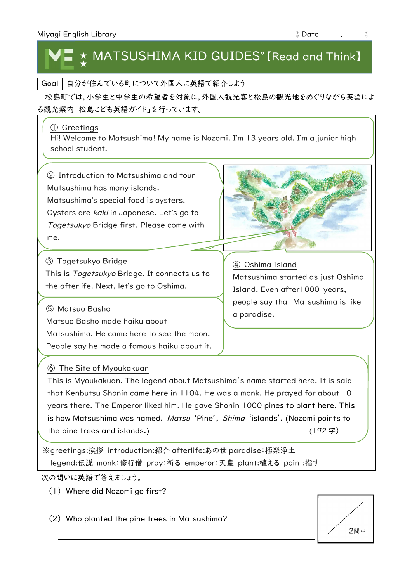## MATSUSHIMA KID GUIDES" [Read and Think] ★

Goal | 自分が住んでいる町について外国人に英語で紹介しよう

松島町では,小学生と中学生の希望者を対象に,外国人観光客と松島の観光地をめぐりながら英語によ る観光案内「松島こども英語ガイド」を行っています。

#### ① Greetings

Hi! Welcome to Matsushima! My name is Nozomi. I'm 13 years old. I'm a junior high school student.

② Introduction to Matsushima and tour

Matsushima has many islands.

Matsushima's special food is oysters.

Oysters are kaki in Japanese. Let's go to

Togetsukyo Bridge first. Please come with me.

③ Togetsukyo Bridge

This is Togetsukyo Bridge. It connects us to the afterlife. Next, let's go to Oshima.

⑤ Matsuo Basho

Matsuo Basho made haiku about Matsushima. He came here to see the moon. People say he made a famous haiku about it.

## ⑥ The Site of Myoukakuan

This is Myoukakuan. The legend about Matsushima's name started here. It is said that Kenbutsu Shonin came here in 1104. He was a monk. He prayed for about 10 years there. The Emperor liked him. He gave Shonin 1000 pines to plant here. This is how Matsushima was named. Matsu 'Pine', Shima 'islands'. (Nozomi points to the pine trees and islands.) (192 字)

※greetings:挨拶 introduction:紹介 afterlife:あの世 paradise:極楽浄土 legend:伝説 monk:修行僧 pray:祈る emperor:天皇 plant:植える point:指す

次の問いに英語で答えましょう。

(1) Where did Nozomi go first?

(2) Who planted the pine trees in Matsushima?



④ Oshima Island Matsushima started as just Oshima Island. Even after1000 years, people say that Matsushima is like a paradise.